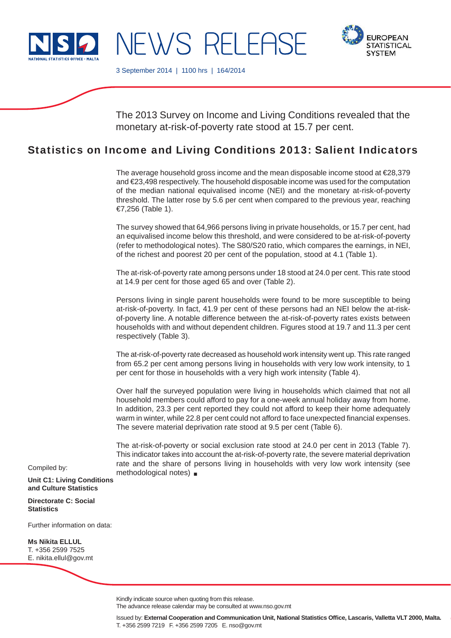

**EUROPEAN** 

3 September 2014 | 1100 hrs | 164/2014

NEWS RELEASE

The 2013 Survey on Income and Living Conditions revealed that the monetary at-risk-of-poverty rate stood at 15.7 per cent.

# Statistics on Income and Living Conditions 2013: Salient Indicators

The average household gross income and the mean disposable income stood at €28,379 and €23,498 respectively. The household disposable income was used for the computation of the median national equivalised income (NEI) and the monetary at-risk-of-poverty threshold. The latter rose by 5.6 per cent when compared to the previous year, reaching €7,256 (Table 1).

The survey showed that 64,966 persons living in private households, or 15.7 per cent, had an equivalised income below this threshold, and were considered to be at-risk-of-poverty (refer to methodological notes). The S80/S20 ratio, which compares the earnings, in NEI, of the richest and poorest 20 per cent of the population, stood at 4.1 (Table 1).

The at-risk-of-poverty rate among persons under 18 stood at 24.0 per cent. This rate stood at 14.9 per cent for those aged 65 and over (Table 2).

Persons living in single parent households were found to be more susceptible to being at-risk-of-poverty. In fact, 41.9 per cent of these persons had an NEI below the at-riskof-poverty line. A notable difference between the at-risk-of-poverty rates exists between households with and without dependent children. Figures stood at 19.7 and 11.3 per cent respectively (Table 3).

The at-risk-of-poverty rate decreased as household work intensity went up. This rate ranged from 65.2 per cent among persons living in households with very low work intensity, to 1 per cent for those in households with a very high work intensity (Table 4).

Over half the surveyed population were living in households which claimed that not all household members could afford to pay for a one-week annual holiday away from home. In addition, 23.3 per cent reported they could not afford to keep their home adequately warm in winter, while 22.8 per cent could not afford to face unexpected financial expenses. The severe material deprivation rate stood at 9.5 per cent (Table 6).

The at-risk-of-poverty or social exclusion rate stood at 24.0 per cent in 2013 (Table 7). This indicator takes into account the at-risk-of-poverty rate, the severe material deprivation rate and the share of persons living in households with very low work intensity (see methodological notes)

Compiled by:

**Unit C1: Living Conditions and Culture Statistics**

**Directorate C: Social Statistics**

Further information on data:

**Ms Nikita ELLUL** T. +356 2599 7525 E. nikita.ellul@gov.mt

Kindly indicate source when quoting from this release.

The advance release calendar may be consulted at www.nso.gov.mt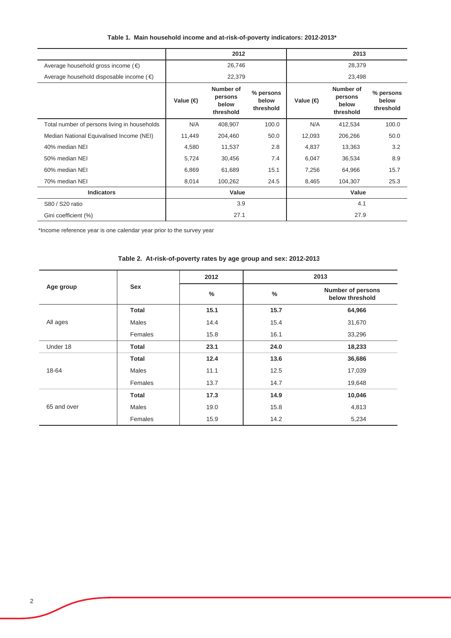|  |  |  |  | Table 1. Main household income and at-risk-of-poverty indicators: 2012-2013* |
|--|--|--|--|------------------------------------------------------------------------------|
|--|--|--|--|------------------------------------------------------------------------------|

|                                                  | 2012              |                                            |                                 |                   |                                            |                                 |
|--------------------------------------------------|-------------------|--------------------------------------------|---------------------------------|-------------------|--------------------------------------------|---------------------------------|
| Average household gross income $(\epsilon)$      | 26,746            |                                            |                                 | 28,379            |                                            |                                 |
| Average household disposable income $(\epsilon)$ |                   | 22,379                                     |                                 |                   | 23,498                                     |                                 |
|                                                  | Value $\bigoplus$ | Number of<br>persons<br>below<br>threshold | % persons<br>below<br>threshold | Value $\bigoplus$ | Number of<br>persons<br>below<br>threshold | % persons<br>below<br>threshold |
| Total number of persons living in households     | N/A               | 408,907                                    | 100.0                           | N/A               | 412,534                                    | 100.0                           |
| Median National Equivalised Income (NEI)         | 11,449            | 204,460                                    | 50.0                            | 12,093            | 206,266                                    | 50.0                            |
| 40% median NEI                                   | 4,580             | 11,537                                     | 2.8                             | 4,837             | 13,363                                     | 3.2                             |
| 50% median NEI                                   | 5,724             | 30,456                                     | 7.4                             | 6,047             | 36,534                                     | 8.9                             |
| 60% median NEI                                   | 6,869             | 61,689                                     | 15.1                            | 7,256             | 64,966                                     | 15.7                            |
| 70% median NEI                                   | 8,014             | 100,262                                    | 24.5                            | 8,465             | 104,307                                    | 25.3                            |
| <b>Indicators</b>                                | Value             |                                            |                                 | Value             |                                            |                                 |
| S80 / S20 ratio                                  | 3.9               |                                            |                                 | 4.1               |                                            |                                 |
| Gini coefficient (%)                             | 27.1              |                                            |                                 | 27.9              |                                            |                                 |

\*Income reference year is one calendar year prior to the survey year

|             |              | 2012 |      | 2013                                        |  |  |
|-------------|--------------|------|------|---------------------------------------------|--|--|
| Age group   | <b>Sex</b>   | $\%$ | $\%$ | <b>Number of persons</b><br>below threshold |  |  |
|             | <b>Total</b> | 15.1 | 15.7 | 64,966                                      |  |  |
| All ages    | <b>Males</b> | 14.4 | 15.4 | 31,670                                      |  |  |
|             | Females      | 15.8 | 16.1 | 33,296                                      |  |  |
| Under 18    | <b>Total</b> | 23.1 | 24.0 | 18,233                                      |  |  |
|             | <b>Total</b> | 12.4 | 13.6 | 36,686                                      |  |  |
| 18-64       | Males        | 11.1 | 12.5 | 17,039                                      |  |  |
|             | Females      | 13.7 | 14.7 | 19,648                                      |  |  |
|             | <b>Total</b> | 17.3 | 14.9 | 10,046                                      |  |  |
| 65 and over | Males        | 19.0 | 15.8 | 4,813                                       |  |  |
|             | Females      | 15.9 | 14.2 | 5,234                                       |  |  |

## **Table 2. At-risk-of-poverty rates by age group and sex: 2012-2013**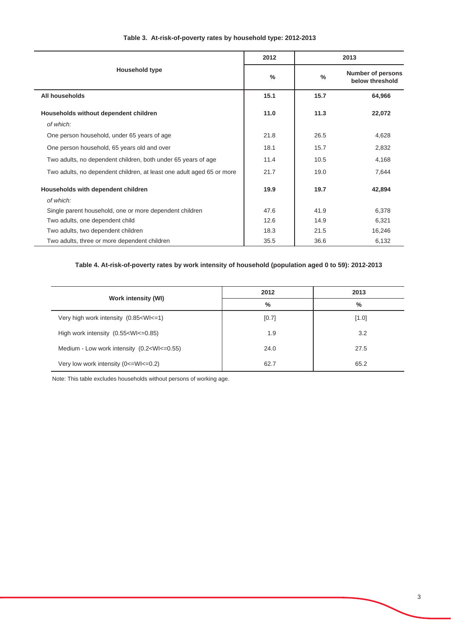|                                                                       | 2012          | 2013          |                                             |
|-----------------------------------------------------------------------|---------------|---------------|---------------------------------------------|
| Household type                                                        | $\frac{0}{0}$ | $\frac{0}{0}$ | <b>Number of persons</b><br>below threshold |
| All households                                                        | 15.1          | 15.7          | 64,966                                      |
| Households without dependent children                                 | 11.0          | 11.3          | 22,072                                      |
| of which:                                                             |               |               |                                             |
| One person household, under 65 years of age                           | 21.8          | 26.5          | 4,628                                       |
| One person household, 65 years old and over                           | 18.1          | 15.7          | 2,832                                       |
| Two adults, no dependent children, both under 65 years of age         | 11.4          | 10.5          | 4,168                                       |
| Two adults, no dependent children, at least one adult aged 65 or more | 21.7          | 19.0          | 7,644                                       |
| Households with dependent children                                    | 19.9          | 19.7          | 42,894                                      |
| of which:                                                             |               |               |                                             |
| Single parent household, one or more dependent children               | 47.6          | 41.9          | 6,378                                       |
| Two adults, one dependent child                                       | 12.6          | 14.9          | 6,321                                       |
| Two adults, two dependent children                                    | 18.3          | 21.5          | 16,246                                      |
| Two adults, three or more dependent children                          | 35.5          | 36.6          | 6,132                                       |

## **Table 3. At-risk-of-poverty rates by household type: 2012-2013**

## **Table 4. At-risk-of-poverty rates by work intensity of household (population aged 0 to 59): 2012-2013**

| <b>Work intensity (WI)</b>                                                                 | 2012  | 2013  |  |
|--------------------------------------------------------------------------------------------|-------|-------|--|
|                                                                                            | $\%$  | %     |  |
| Very high work intensity (0.85 <wi<=1)< td=""><td>[0.7]</td><td>[1.0]</td></wi<=1)<>       | [0.7] | [1.0] |  |
| High work intensity $(0.55 \times W) \leq -0.85$                                           | 1.9   | 3.2   |  |
| Medium - Low work intensity (0.2 <wi<=0.55)< td=""><td>24.0</td><td>27.5</td></wi<=0.55)<> | 24.0  | 27.5  |  |
| Very low work intensity (0 <= Wl <= 0.2)                                                   | 62.7  | 65.2  |  |

Note: This table excludes households without persons of working age.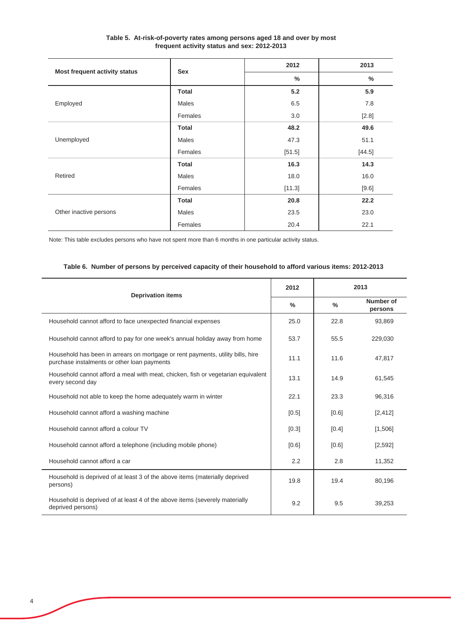| Table 5. At-risk-of-poverty rates among persons aged 18 and over by most |
|--------------------------------------------------------------------------|
| frequent activity status and sex: 2012-2013                              |

|                               | Sex          | 2012   | 2013   |  |
|-------------------------------|--------------|--------|--------|--|
| Most frequent activity status |              | $\%$   | $\%$   |  |
|                               | <b>Total</b> | 5.2    | 5.9    |  |
| Employed                      | Males        | 6.5    | 7.8    |  |
|                               | Females      | 3.0    | [2.8]  |  |
|                               | <b>Total</b> | 48.2   | 49.6   |  |
| Unemployed                    | Males        | 47.3   | 51.1   |  |
|                               | Females      | [51.5] | [44.5] |  |
|                               | <b>Total</b> | 16.3   | 14.3   |  |
| Retired                       | Males        | 18.0   | 16.0   |  |
|                               | Females      | [11.3] | [9.6]  |  |
|                               | <b>Total</b> | 20.8   | 22.2   |  |
| Other inactive persons        | <b>Males</b> | 23.5   | 23.0   |  |
|                               | Females      | 20.4   | 22.1   |  |

Note: This table excludes persons who have not spent more than 6 months in one particular activity status.

|                                                                                                                                |               |               | 2013                 |
|--------------------------------------------------------------------------------------------------------------------------------|---------------|---------------|----------------------|
| <b>Deprivation items</b>                                                                                                       | $\frac{0}{0}$ | $\frac{0}{0}$ | Number of<br>persons |
| Household cannot afford to face unexpected financial expenses                                                                  | 25.0          | 22.8          | 93,869               |
| Household cannot afford to pay for one week's annual holiday away from home                                                    | 53.7          | 55.5          | 229.030              |
| Household has been in arrears on mortgage or rent payments, utility bills, hire<br>purchase instalments or other loan payments | 11.1          | 11.6          | 47.817               |
| Household cannot afford a meal with meat, chicken, fish or vegetarian equivalent<br>every second day                           | 13.1          | 14.9          | 61,545               |
| Household not able to keep the home adequately warm in winter                                                                  | 22.1          | 23.3          | 96,316               |
| Household cannot afford a washing machine                                                                                      | $[0.5]$       | [0.6]         | [2, 412]             |
| Household cannot afford a colour TV                                                                                            | [0.3]         | [0.4]         | [1,506]              |
| Household cannot afford a telephone (including mobile phone)                                                                   | [0.6]         | [0.6]         | [2,592]              |
| Household cannot afford a car                                                                                                  | 2.2           | 2.8           | 11,352               |
| Household is deprived of at least 3 of the above items (materially deprived<br>persons)                                        | 19.8          | 19.4          | 80,196               |
| Household is deprived of at least 4 of the above items (severely materially<br>deprived persons)                               | 9.2           | 9.5           | 39,253               |

## **Table 6. Number of persons by perceived capacity of their household to afford various items: 2012-2013**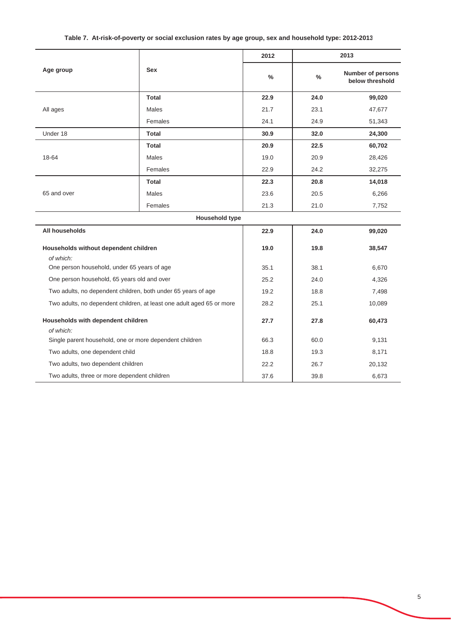## **Table 7. At-risk-of-poverty or social exclusion rates by age group, sex and household type: 2012-2013**

|                                                                      |                                                                       | 2012          |               | 2013                                        |  |  |
|----------------------------------------------------------------------|-----------------------------------------------------------------------|---------------|---------------|---------------------------------------------|--|--|
| Age group                                                            | <b>Sex</b>                                                            | $\frac{0}{0}$ | $\frac{0}{0}$ | <b>Number of persons</b><br>below threshold |  |  |
|                                                                      | <b>Total</b>                                                          | 22.9          | 24.0          | 99,020                                      |  |  |
| All ages                                                             | <b>Males</b>                                                          | 21.7          | 23.1          | 47,677                                      |  |  |
|                                                                      | Females                                                               | 24.1          | 24.9          | 51,343                                      |  |  |
| Under 18                                                             | <b>Total</b>                                                          | 30.9          | 32.0          | 24,300                                      |  |  |
|                                                                      | <b>Total</b>                                                          | 20.9          | 22.5          | 60,702                                      |  |  |
| 18-64                                                                | <b>Males</b>                                                          | 19.0          | 20.9          | 28,426                                      |  |  |
|                                                                      | Females                                                               | 22.9          | 24.2          | 32,275                                      |  |  |
|                                                                      | <b>Total</b>                                                          | 22.3          | 20.8          | 14,018                                      |  |  |
| 65 and over                                                          | <b>Males</b>                                                          | 23.6          | 20.5          | 6,266                                       |  |  |
|                                                                      | Females                                                               | 21.3          | 21.0          | 7,752                                       |  |  |
|                                                                      | <b>Household type</b>                                                 |               |               |                                             |  |  |
| All households                                                       |                                                                       | 22.9          | 24.0          | 99,020                                      |  |  |
| Households without dependent children                                |                                                                       | 19.0          | 19.8          | 38,547                                      |  |  |
| of which:<br>One person household, under 65 years of age             |                                                                       | 35.1          | 38.1          | 6,670                                       |  |  |
| One person household, 65 years old and over                          |                                                                       | 25.2          | 24.0          | 4,326                                       |  |  |
| Two adults, no dependent children, both under 65 years of age        |                                                                       | 19.2          | 18.8          | 7,498                                       |  |  |
|                                                                      | Two adults, no dependent children, at least one adult aged 65 or more |               | 25.1          | 10,089                                      |  |  |
|                                                                      |                                                                       | 28.2          |               |                                             |  |  |
| Households with dependent children                                   | 27.7                                                                  | 27.8          | 60,473        |                                             |  |  |
| of which:<br>Single parent household, one or more dependent children |                                                                       | 66.3          | 60.0          | 9,131                                       |  |  |
| Two adults, one dependent child                                      |                                                                       | 18.8          | 19.3          | 8,171                                       |  |  |
| Two adults, two dependent children                                   |                                                                       | 22.2          | 26.7          | 20,132                                      |  |  |
| Two adults, three or more dependent children                         |                                                                       | 37.6          | 39.8          | 6,673                                       |  |  |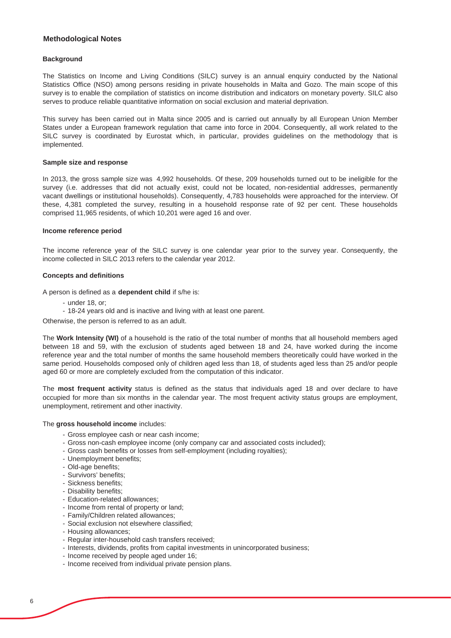### **Methodological Notes**

#### **Background**

The Statistics on Income and Living Conditions (SILC) survey is an annual enquiry conducted by the National Statistics Office (NSO) among persons residing in private households in Malta and Gozo. The main scope of this survey is to enable the compilation of statistics on income distribution and indicators on monetary poverty. SILC also serves to produce reliable quantitative information on social exclusion and material deprivation.

This survey has been carried out in Malta since 2005 and is carried out annually by all European Union Member States under a European framework regulation that came into force in 2004. Consequently, all work related to the SILC survey is coordinated by Eurostat which, in particular, provides guidelines on the methodology that is implemented.

#### **Sample size and response**

In 2013, the gross sample size was 4,992 households. Of these, 209 households turned out to be ineligible for the survey (i.e. addresses that did not actually exist, could not be located, non-residential addresses, permanently vacant dwellings or institutional households). Consequently, 4,783 households were approached for the interview. Of these, 4,381 completed the survey, resulting in a household response rate of 92 per cent. These households comprised 11,965 residents, of which 10,201 were aged 16 and over.

#### **Income reference period**

The income reference year of the SILC survey is one calendar year prior to the survey year. Consequently, the income collected in SILC 2013 refers to the calendar year 2012.

#### **Concepts and definitions**

A person is defined as a **dependent child** if s/he is:

- under 18, or;
- 18-24 years old and is inactive and living with at least one parent.

Otherwise, the person is referred to as an adult.

The **Work Intensity (WI)** of a household is the ratio of the total number of months that all household members aged between 18 and 59, with the exclusion of students aged between 18 and 24, have worked during the income reference year and the total number of months the same household members theoretically could have worked in the same period. Households composed only of children aged less than 18, of students aged less than 25 and/or people aged 60 or more are completely excluded from the computation of this indicator.

The **most frequent activity** status is defined as the status that individuals aged 18 and over declare to have occupied for more than six months in the calendar year. The most frequent activity status groups are employment, unemployment, retirement and other inactivity.

#### The **gross household income** includes:

- Gross employee cash or near cash income;
- Gross non-cash employee income (only company car and associated costs included);
- Gross cash benefits or losses from self-employment (including royalties);
- Unemployment benefits;
- Old-age benefits;
- Survivors' benefits;
- Sickness benefits;
- Disability benefits;
- Education-related allowances;
- Income from rental of property or land;
- Family/Children related allowances;
- Social exclusion not elsewhere classified;
- Housing allowances;
- Regular inter-household cash transfers received;
- Interests, dividends, profits from capital investments in unincorporated business;
- Income received by people aged under 16;
- Income received from individual private pension plans.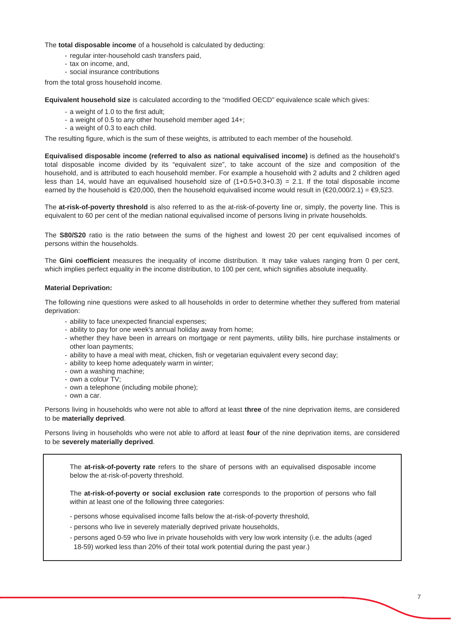The **total disposable income** of a household is calculated by deducting:

- regular inter-household cash transfers paid,
- tax on income, and,
- social insurance contributions

from the total gross household income.

**Equivalent household size** is calculated according to the "modified OECD" equivalence scale which gives:

- a weight of 1.0 to the first adult;
- a weight of 0.5 to any other household member aged 14+;
- a weight of 0.3 to each child.

The resulting figure, which is the sum of these weights, is attributed to each member of the household.

**Equivalised disposable income (referred to also as national equivalised income)** is defined as the household's total disposable income divided by its "equivalent size", to take account of the size and composition of the household, and is attributed to each household member. For example a household with 2 adults and 2 children aged less than 14, would have an equivalised household size of  $(1+0.5+0.3+0.3) = 2.1$ . If the total disposable income earned by the household is  $\epsilon$ 20,000, then the household equivalised income would result in ( $\epsilon$ 20,000/2.1) =  $\epsilon$ 9,523.

The **at-risk-of-poverty threshold** is also referred to as the at-risk-of-poverty line or, simply, the poverty line. This is equivalent to 60 per cent of the median national equivalised income of persons living in private households.

The **S80/S20** ratio is the ratio between the sums of the highest and lowest 20 per cent equivalised incomes of persons within the households.

The **Gini coefficient** measures the inequality of income distribution. It may take values ranging from 0 per cent, which implies perfect equality in the income distribution, to 100 per cent, which signifies absolute inequality.

#### **Material Deprivation:**

The following nine questions were asked to all households in order to determine whether they suffered from material deprivation:

- ability to face unexpected financial expenses;
- ability to pay for one week's annual holiday away from home;
- whether they have been in arrears on mortgage or rent payments, utility bills, hire purchase instalments or other loan payments;
- ability to have a meal with meat, chicken, fish or vegetarian equivalent every second day;
- ability to keep home adequately warm in winter;
- own a washing machine;
- own a colour TV;
- own a telephone (including mobile phone);
- own a car.

Persons living in households who were not able to afford at least **three** of the nine deprivation items, are considered to be **materially deprived**.

Persons living in households who were not able to afford at least **four** of the nine deprivation items, are considered to be **severely materially deprived**.

The **at-risk-of-poverty rate** refers to the share of persons with an equivalised disposable income below the at-risk-of-poverty threshold.

The **at-risk-of-poverty or social exclusion rate** corresponds to the proportion of persons who fall within at least one of the following three categories:

- persons whose equivalised income falls below the at-risk-of-poverty threshold,
- persons who live in severely materially deprived private households,
- 18-59) worked less than 20% of their total work potential during the past year.) - persons aged 0-59 who live in private households with very low work intensity (i.e. the adults (aged